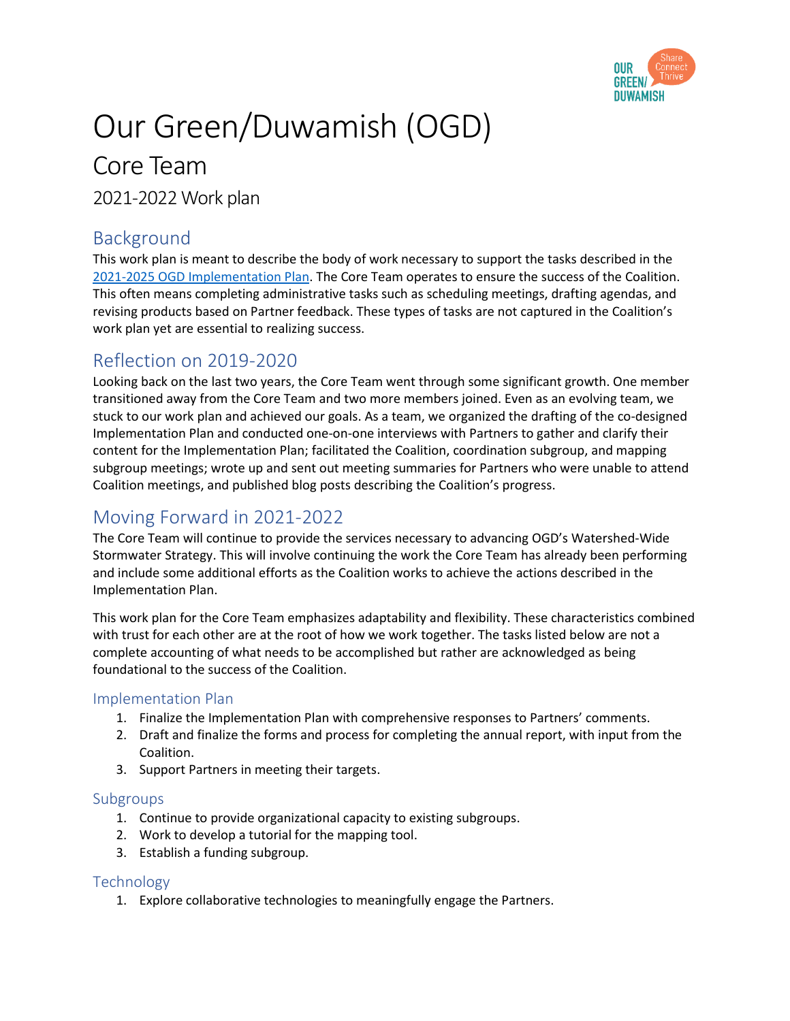

# Our Green/Duwamish (OGD)

## Core Team

2021-2022 Work plan

## Background

This work plan is meant to describe the body of work necessary to support the tasks described in the [2021-2025 OGD Implementation Plan.](https://teams.microsoft.com/l/file/41C55A03-EE8C-4408-B0BE-9F8B43BE0E76?tenantId=bae5059a-76f0-49d7-9996-72dfe95d69c7&fileType=docx&objectUrl=https%3A%2F%2Fkc1.sharepoint.com%2Fteams%2FOurGreenDuwamishWatershed-WideStormwaterStrategy%2FShared%20Documents%2FGeneral%2F2021-2022%20OGD%20Workplan%20draft.docx&baseUrl=https%3A%2F%2Fkc1.sharepoint.com%2Fteams%2FOurGreenDuwamishWatershed-WideStormwaterStrategy&serviceName=teams&threadId=19:e64515b9274d474ea490e1fe4d782854@thread.skype&groupId=e69422ed-830f-400e-80bb-ad88d6ab92df) The Core Team operates to ensure the success of the Coalition. This often means completing administrative tasks such as scheduling meetings, drafting agendas, and revising products based on Partner feedback. These types of tasks are not captured in the Coalition's work plan yet are essential to realizing success.

## Reflection on 2019-2020

Looking back on the last two years, the Core Team went through some significant growth. One member transitioned away from the Core Team and two more members joined. Even as an evolving team, we stuck to our work plan and achieved our goals. As a team, we organized the drafting of the co-designed Implementation Plan and conducted one-on-one interviews with Partners to gather and clarify their content for the Implementation Plan; facilitated the Coalition, coordination subgroup, and mapping subgroup meetings; wrote up and sent out meeting summaries for Partners who were unable to attend Coalition meetings, and published blog posts describing the Coalition's progress.

## Moving Forward in 2021-2022

The Core Team will continue to provide the services necessary to advancing OGD's Watershed-Wide Stormwater Strategy. This will involve continuing the work the Core Team has already been performing and include some additional efforts as the Coalition works to achieve the actions described in the Implementation Plan.

This work plan for the Core Team emphasizes adaptability and flexibility. These characteristics combined with trust for each other are at the root of how we work together. The tasks listed below are not a complete accounting of what needs to be accomplished but rather are acknowledged as being foundational to the success of the Coalition.

#### Implementation Plan

- 1. Finalize the Implementation Plan with comprehensive responses to Partners' comments.
- 2. Draft and finalize the forms and process for completing the annual report, with input from the Coalition.
- 3. Support Partners in meeting their targets.

#### Subgroups

- 1. Continue to provide organizational capacity to existing subgroups.
- 2. Work to develop a tutorial for the mapping tool.
- 3. Establish a funding subgroup.

#### Technology

1. Explore collaborative technologies to meaningfully engage the Partners.